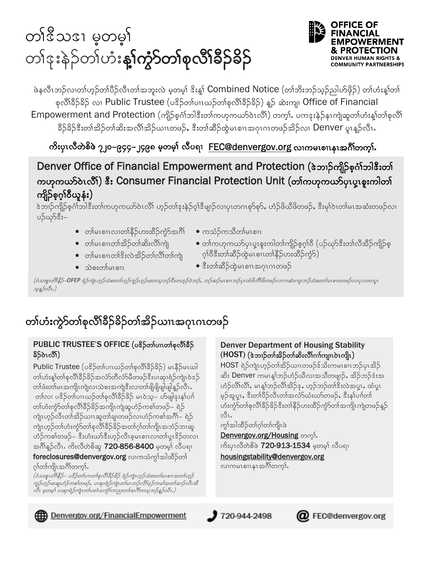# တၢိဳဒ္မိသဒ္ ၊ မူတမ္နု တၢ်ဒုးနဲ့ဉ်တျ်ဟုံး**နှုက္ကာတစ်စုလိုးခံ့ခ်ခဲ့**



ဖဲနလီၤဘဉ်လ၊တၢ်ဟ္ဥတၢ်ပီဥ်လီၤတၢ်အဘူးလဲ မှတမှ၊် ဒိႏန္၊် Combined Notice (တၢ်ဘိးဘဉ်သူဥ်ညါဟ်ဖိုဉ်) တ၊်ဟုံးနှုတ၊် စုလိၢိခဵာ်ခဵာ်ခွာ လျှ Public Trustee (ပန္နာ်တ္လ္ပ်ဴပၢဃ္သာတ္လုံစုလို၊နီခဵာခံး) န္႕်ာ ဆဲးကျ၊ Office of Financial Empowerment and Protection (ကျိဉ်စုဂၢိဘါဒီးတ၊်ကဟုကယာ်ဝဲၤလိၢ်) တက္i. ပကဒုးနဲဉ်နၤကျဲဆူတ၊်ဟံးန့၊်တ၊်စုလိ၊် ခီဉ်ခိဉ်ဒီးတၢ်အိဉ်တ၊်ဆိးအလိ၊်အိဉ်ယၢၤတဖဉ်, ဒီးတ၊်ဆီဉ်ထွဲမၤစၢၤအဂုၤဂၤတဖဉ်အိဉ်လ၊ <code>Denver</code> ပူးနှဉ်လီး.

ကိႏပုၤလီတဲစိဖဲ ၇၂၀–၉၄၄–၂၄၉၈ မ့တမ္) လီပရၢ FEC@denvergov.org လၢကမၤစၢၤနၤအဂ်ိၢိတက္န}်

Denver Office of Financial Empowerment and Protection (&ဘၢဉ်ကျိဉ်စုဂၢိဘါဒီးတ၊် ကဟုကယာ်ဝဲၤလိႆ) နီး Consumer Financial Protection Unit (တၢဴကဟုကယာ်ပုၤပူးစူးကါတ၊် ကျိဉ်စုဂ္ဂါဝီယူနံး)

ဲ့သာဉ်ကျိဉ်စုဂံ၊်ဘါဒီးတ၊်ကဟုကယာ်ဝဲၤလိ၊် ဟုဉ်တ၊်ဒုးနဲဉ်ဝ့၊်ဒီဖျာဉ်လ၊ပုၤတဂၤစုာ်စုာ်, ဟံဉ်ဖိယိဖိတဖဉ်, ဒီးမှ၊်ဝဲၤတ၊်မၤအဆံးတဖဉ်လ၊ ပဉ်ယှာ်ဒီး–

- တါမၤစၢၤလၢတၢ်နိ့ဉ်ဟးထိဉ်ကဲ့ာ်အဂိၢ်
- ကသံဉ်ကသီတၢ်မၤစၢၤ
- တါမၤစၢၤတၢ်အိ့ဉ်တၢ်ဆိးလိၢ်ကျဲ
- တၢ်ကဟုကယာ်ပုၤပူၤစူးကါတၢ်ကျိဉ်စ့ဂ္ဒ္ပါဝိ (ပဉ်ယှာ်ဒီးတၢ်လီအိဉ်ကျိဉ်စ့
- တါမၤစၢၤတၢိဒိးလဲအိဉ်တၢ်လိၢ်တ၊်ကျဲ
- $\bullet$  သဲစးတ္ပါမၤစၢၤ

ဂ္ဂါဝီဒီးတၢ်ဆိဉ်ထဲ့မၤစၢၤတၢ်နိဉ်ဟးထိဉ်ကဲ့၁်) • နီးတၢ်ဆိ်ဉ်ထွဲမၤစၢၤအဂုၤဂၤတဖဉ်

(ဝံသးစူးတိîနိဉ်–OFEP ရဲဉ်ကျဲးဟူဉ်သဲစးတပ်ဟူဉ်ကူဉ်ဟူဉ်ဖေတသူဘဉ်နီးတဟူဉ်ဝဲဘဉ်, ဘဉ်ဆဉ်မေးစားဘွင်ပုံထိုကိုပိတ်စားကျေး သန္နဉ်လီး.)

## တၢ်ဟံးကွဲ၁်တၢ်စုလိၢ်ခိဉ်ခိဉ်တၢ်အိဉ်ယၢၤအဂုၤဂၤတဖဉ်

#### PUBLIC TRUSTEE'S OFFICE (ပ<sup>8</sup>ဉ်တါပၢလာ်စုလိ<sup>ု</sup>နိဉ် နိ5်ဝဲၤလိ!)

Public Trustee (ပနိ5တ္ပ္လ်ပ္ပၤတ္ပင်္ဘာစုတ္လိုခ်ိန္နိ၁ ) မႈနိ5မ္လာပါ တၢ်ဟံးန့၊်တၢ်စုလိၢိခိဉ်ခိဉ်အလံာ်တီလံာ်မိတဖဉ်ဒီးပၢဆု၊ရဲဉ်ကျဲၤ၀ဲဒဉ် တၢ်ဖံးတ၊်မၤအကျိၤကျဲလၢသဲစးအကျဲဒီးလၢတၢ်ဖျိဖျိဖျါဖျါန္βလိၤႉ တၢ်လ၊ ပဒိဉ်တၢ်ပၢၤဃဉ်တၢ်စုလိၢ်ခိဉ်ခိဉ် မၤဝဲသ့– ဟ်ဖျါဒုးနၢ်ပၢ၊် တၢ်ဟံးကွဲ၁်တၢ်စုလိၤ်ခိဉ်ခိဉ်အကျိၤကျဲဆူဟံဉ်ကစၢ်တဖဉ်– ရဲဉ် ကျဲၤဟ့ဉ်လီၤတၢ်အိဉ်ယၢၤဆူတ၊်ချ၊တဖဉ်လၢဟံဉ်ကစၢ်အဂိၢ်– ရဲဉ် ကျဲ၊ ဟ့ဉ်တ၊်ဟံးကွဲ၁်တ၊်စုလိ၊်ခိဉ်ခိဉ်အတ၊်ဂွ၊်တ၊်ကျိ၊ အဘံဉ်ဘ၊ဆူ ဟံဉ်ကစါတဖဉ်– ဒီးဟံးယာ်ဒီးဟူဉ်လီၤစူမၤစၢၤလၢတၢ်ပူၤဒိဉ်တလၢ အဂ်ိန္ဥ်လီး ကိုးလီတဲစိဆူ 720-856-8400 မွတမ္န၊် လီပရ၊ foreclosures@denvergov.org လၢကသံကွ<sup>န္</sup>အါထိဉ်တ<sup>န</sup> ဂုၢ်တၢ်ကျိၤအဂိၢ်တက္i်.

ီ<br>(ဝံသးစူးတိîနိဉ်– ပနိဉ်တၤ်ပၢးတၢ်စုလိîနိဉ်နိဉ် ရဲဉ်ကျဲးဟုဉ်သဲစးတ၊်မၤစၢၤအတၢ်ဟုဉ်<br>ကူဉ်ဟုဉ်ဖးဆူဟံဉ်ကစ၊်တဖဉ်, ပၢဆုၢရဲဉ်ကျဲးတ၊်မၤဘဉ်လိာ်နဉ်ကမ၊်အတ၊်အၢဉ်လီးအိ<br>လီး မှတမှ၊် ပၢဆုၢရဲဉ်ကျဲးတ၊်ပတံသက္ခာ်ကညးတၢ်အင်္ဂါတသုဘဉ်နှဉ်လီး.)

#### **Denver Department of Housing Stability** (HOST) (ဖဲ့ဘ)ာ်တာ်အိဉ်တာ်ဆိးလိ<sup>ု</sup>ဂၢါကျၤဝဲၤကျိၤ)

HOST ရဲဉ်ကျဲၤဟူဉ်တၢ်အိဉ်ယၢၤတဖဉ်ဒ်သိးကမၤစၢၤဘဉ်ပုၤအိဉ် ဆိး Denver ကမၤန္1်ဘာ်ဟံဉ်ယီလၢအသိတဖျာဉ်, အိဉ်ဘဉ်ဒံးအ ဟံဉ်လိၢ်လိၢ်, မၤန္န၊်ဘဉ်လိၢ်အိဉ်န, ဟှဉ်ဘဉ်တ၊်ဒီးလဲအပူး, ထံပူး မှဉ်အူပူး, ဒီးတၢိပိဉ်လီၤတၢ်အလံာ်ယံးယာ်တဖဉ်, ဒီးနၢ်ပၢါတ၊် ဟံးကွဲာ်တၢ်စုလိၢ်ခိဉ်ခိဉ်ဒီးတၢ်နိဉ်ဟးထိဉ်ကွဲာ်တၢ်အကျိၤကျဲတဖဉ်နူဉ်  $\mathring{\infty}$ l.

ကွ\အါထိဉ်တ\ဂ္\တ\ကျိၤဖဲ

Denvergov.org/Housing တက္ရွ<sup>1</sup>. ကိးပုၤလီတဲစိဖဲ 720-913-1534 မှတမ့္ လီပရၢ

housingstability@denvergov.org လၢကမၤစၢၤနၤအဂိၢိတက္နါ.



Denvergov.org/FinancialEmpowerment





**@** FEC@denvergov.org